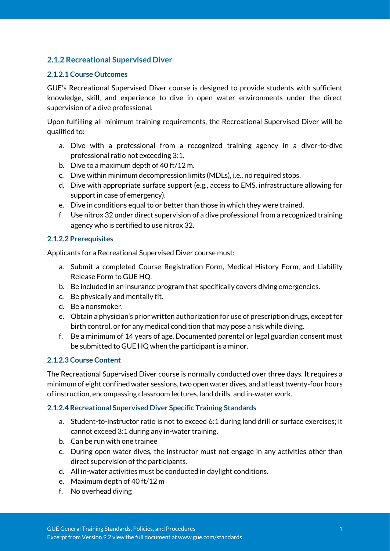## **2.1.2 Recreational Supervised Diver**

#### **2.1.2.1 Course Outcomes**

GUE's Recreational Supervised Diver course is designed to provide students with sufficient knowledge, skill, and experience to dive in open water environments under the direct supervision of a dive professional.

Upon fulfilling all minimum training requirements, the Recreational Supervised Diver will be qualified to:

- a. Dive with a professional from a recognized training agency in a diver-to-dive professional ratio not exceeding 3:1.
- b. Dive to a maximum depth of 40 ft/12 m.
- c. Dive within minimum decompression limits (MDLs), i.e., no required stops.
- d. Dive with appropriate surface support (e.g., access to EMS, infrastructure allowing for support in case of emergency).
- e. Dive in conditions equal to or better than those in which they were trained.
- f. Use nitrox 32 under direct supervision of a dive professional from a recognized training agency who is certified to use nitrox 32.

#### **2.1.2.2 Prerequisites**

Applicants for a Recreational Supervised Diver course must:

- a. Submit a completed Course Registration Form, Medical History Form, and Liability Release Form to GUE HQ.
- b. Be included in an insurance program that specifically covers diving emergencies.
- c. Be physically and mentally fit.
- d. Be a nonsmoker.
- e. Obtain a physician's prior written authorization for use of prescription drugs, except for birth control, or for any medical condition that may pose a risk while diving.
- f. Be a minimum of 14 years of age. Documented parental or legal guardian consent must be submitted to GUE HQ when the participant is a minor.

## **2.1.2.3 Course Content**

The Recreational Supervised Diver course is normally conducted over three days. It requires a minimum of eight confined water sessions, two open water dives, and at least twenty-four hours of instruction, encompassing classroom lectures, land drills, and in-water work.

#### **2.1.2.4 Recreational Supervised Diver Specific Training Standards**

- a. Student-to-instructor ratio is not to exceed 6:1 during land drill or surface exercises; it cannot exceed 3:1 during any in-water training.
- b. Can be run with one trainee
- c. During open water dives, the instructor must not engage in any activities other than direct supervision of the participants.
- d. All in-water activities must be conducted in daylight conditions.
- e. Maximum depth of 40 ft/12 m
- f. No overhead diving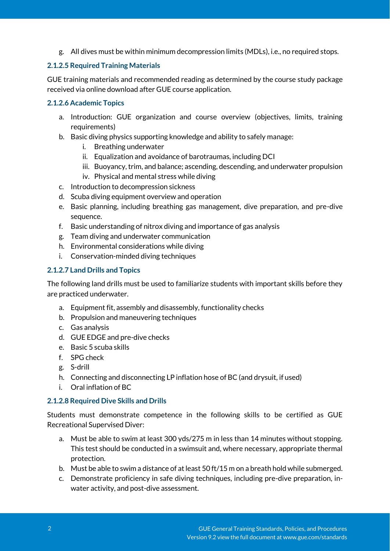g. All dives must be within minimum decompression limits (MDLs), i.e., no required stops.

## **2.1.2.5 Required Training Materials**

GUE training materials and recommended reading as determined by the course study package received via online download after GUE course application.

## **2.1.2.6 Academic Topics**

- a. Introduction: GUE organization and course overview (objectives, limits, training requirements)
- b. Basic diving physics supporting knowledge and ability to safely manage:
	- i. Breathing underwater
	- ii. Equalization and avoidance of barotraumas, including DCI
	- iii. Buoyancy, trim, and balance; ascending, descending, and underwater propulsion
	- iv. Physical and mental stress while diving
- c. Introduction to decompression sickness
- d. Scuba diving equipment overview and operation
- e. Basic planning, including breathing gas management, dive preparation, and pre-dive sequence.
- f. Basic understanding of nitrox diving and importance of gas analysis
- g. Team diving and underwater communication
- h. Environmental considerations while diving
- i. Conservation-minded diving techniques

## **2.1.2.7 Land Drills and Topics**

The following land drills must be used to familiarize students with important skills before they are practiced underwater.

- a. Equipment fit, assembly and disassembly, functionality checks
- b. Propulsion and maneuvering techniques
- c. Gas analysis
- d. GUE EDGE and pre-dive checks
- e. Basic 5 scuba skills
- f. SPG check
- g. S-drill
- h. Connecting and disconnecting LP inflation hose of BC (and drysuit, if used)
- i. Oral inflation of BC

#### **2.1.2.8 Required Dive Skills and Drills**

Students must demonstrate competence in the following skills to be certified as GUE Recreational Supervised Diver:

- a. Must be able to swim at least 300 yds/275 m in less than 14 minutes without stopping. This test should be conducted in a swimsuit and, where necessary, appropriate thermal protection.
- b. Must be able to swim a distance of at least 50 ft/15 m on a breath hold while submerged.
- c. Demonstrate proficiency in safe diving techniques, including pre-dive preparation, inwater activity, and post-dive assessment.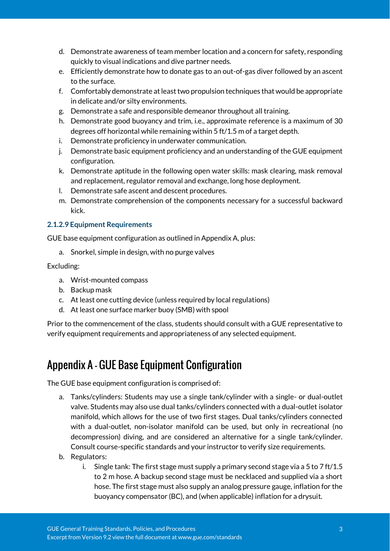- d. Demonstrate awareness of team member location and a concern for safety, responding quickly to visual indications and dive partner needs.
- e. Efficiently demonstrate how to donate gas to an out-of-gas diver followed by an ascent to the surface.
- f. Comfortably demonstrate at least two propulsion techniques that would be appropriate in delicate and/or silty environments.
- g. Demonstrate a safe and responsible demeanor throughout all training.
- h. Demonstrate good buoyancy and trim, i.e., approximate reference is a maximum of 30 degrees off horizontal while remaining within 5 ft/1.5 m of a target depth.
- i. Demonstrate proficiency in underwater communication.
- j. Demonstrate basic equipment proficiency and an understanding of the GUE equipment configuration.
- k. Demonstrate aptitude in the following open water skills: mask clearing, mask removal and replacement, regulator removal and exchange, long hose deployment.
- l. Demonstrate safe ascent and descent procedures.
- m. Demonstrate comprehension of the components necessary for a successful backward kick.

#### **2.1.2.9 Equipment Requirements**

GUE base equipment configuration as outlined in Appendix A, plus:

a. Snorkel, simple in design, with no purge valves

Excluding:

- a. Wrist-mounted compass
- b. Backup mask
- c. At least one cutting device (unless required by local regulations)
- d. At least one surface marker buoy (SMB) with spool

Prior to the commencement of the class, students should consult with a GUE representative to verify equipment requirements and appropriateness of any selected equipment.

# Appendix A - GUE Base Equipment Configuration

The GUE base equipment configuration is comprised of:

- a. Tanks/cylinders: Students may use a single tank/cylinder with a single- or dual-outlet valve. Students may also use dual tanks/cylinders connected with a dual-outlet isolator manifold, which allows for the use of two first stages. Dual tanks/cylinders connected with a dual-outlet, non-isolator manifold can be used, but only in recreational (no decompression) diving, and are considered an alternative for a single tank/cylinder. Consult course-specific standards and your instructor to verify size requirements.
- b. Regulators:
	- i. Single tank: The first stage must supply a primary second stage via a 5 to 7 ft/1.5 to 2 m hose. A backup second stage must be necklaced and supplied via a short hose. The first stage must also supply an analog pressure gauge, inflation for the buoyancy compensator (BC), and (when applicable) inflation for a drysuit.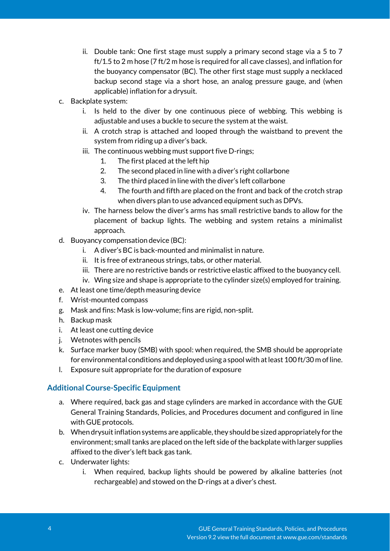- ii. Double tank: One first stage must supply a primary second stage via a 5 to 7 ft/1.5 to 2 m hose (7 ft/2 m hose is required for all cave classes), and inflation for the buoyancy compensator (BC). The other first stage must supply a necklaced backup second stage via a short hose, an analog pressure gauge, and (when applicable) inflation for a drysuit.
- c. Backplate system:
	- i. Is held to the diver by one continuous piece of webbing. This webbing is adjustable and uses a buckle to secure the system at the waist.
	- ii. A crotch strap is attached and looped through the waistband to prevent the system from riding up a diver's back.
	- iii. The continuous webbing must support five D-rings;
		- 1. The first placed at the left hip
		- 2. The second placed in line with a diver's right collarbone
		- 3. The third placed in line with the diver's left collarbone
		- 4. The fourth and fifth are placed on the front and back of the crotch strap when divers plan to use advanced equipment such as DPVs.
	- iv. The harness below the diver's arms has small restrictive bands to allow for the placement of backup lights. The webbing and system retains a minimalist approach.
- d. Buoyancy compensation device (BC):
	- i. A diver's BC is back-mounted and minimalist in nature.
	- ii. It is free of extraneous strings, tabs, or other material.
	- iii. There are no restrictive bands or restrictive elastic affixed to the buoyancy cell.
	- iv. Wing size and shape is appropriate to the cylinder size(s) employed for training.
- e. At least one time/depth measuring device
- f. Wrist-mounted compass
- g. Mask and fins: Mask is low-volume; fins are rigid, non-split.
- h. Backup mask
- i. At least one cutting device
- j. Wetnotes with pencils
- k. Surface marker buoy (SMB) with spool: when required, the SMB should be appropriate for environmental conditions and deployed using a spool with at least 100 ft/30 m of line.
- l. Exposure suit appropriate for the duration of exposure

#### **Additional Course-Specific Equipment**

- a. Where required, back gas and stage cylinders are marked in accordance with the GUE General Training Standards, Policies, and Procedures document and configured in line with GUE protocols.
- b. When drysuit inflation systems are applicable, they should be sized appropriately for the environment; small tanks are placed on the left side of the backplate with larger supplies affixed to the diver's left back gas tank.
- c. Underwater lights:
	- i. When required, backup lights should be powered by alkaline batteries (not rechargeable) and stowed on the D-rings at a diver's chest.